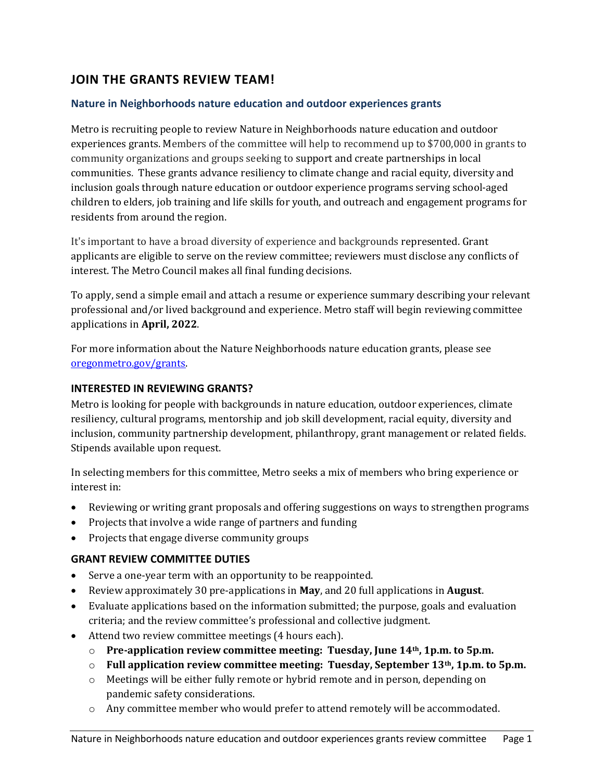# JOIN THE GRANTS REVIEW TEAM!

#### Nature in Neighborhoods nature education and outdoor experiences grants

Metro is recruiting people to review Nature in Neighborhoods nature education and outdoor experiences grants. Members of the committee will help to recommend up to \$700,000 in grants to community organizations and groups seeking to support and create partnerships in local communities. These grants advance resiliency to climate change and racial equity, diversity and inclusion goals through nature education or outdoor experience programs serving school-aged children to elders, job training and life skills for youth, and outreach and engagement programs for residents from around the region.

It's important to have a broad diversity of experience and backgrounds represented. Grant applicants are eligible to serve on the review committee; reviewers must disclose any conflicts of interest. The Metro Council makes all final funding decisions.

To apply, send a simple email and attach a resume or experience summary describing your relevant professional and/or lived background and experience. Metro staff will begin reviewing committee applications in April, 2022.

For more information about the Nature Neighborhoods nature education grants, please see oregonmetro.gov/grants.

#### INTERESTED IN REVIEWING GRANTS?

Metro is looking for people with backgrounds in nature education, outdoor experiences, climate resiliency, cultural programs, mentorship and job skill development, racial equity, diversity and inclusion, community partnership development, philanthropy, grant management or related fields. Stipends available upon request.

In selecting members for this committee, Metro seeks a mix of members who bring experience or interest in:

- Reviewing or writing grant proposals and offering suggestions on ways to strengthen programs
- Projects that involve a wide range of partners and funding
- Projects that engage diverse community groups

#### GRANT REVIEW COMMITTEE DUTIES

- Serve a one-year term with an opportunity to be reappointed.
- Exercise Neproximately 30 pre-applications in May, and 20 full applications in August.
- Evaluate applications based on the information submitted; the purpose, goals and evaluation criteria; and the review committee's professional and collective judgment.
- Attend two review committee meetings (4 hours each).
	- o Pre-application review committee meeting: Tuesday, June 14th, 1p.m. to 5p.m.
	- $\circ$  Full application review committee meeting: Tuesday, September 13<sup>th</sup>, 1p.m. to 5p.m.
	- o Meetings will be either fully remote or hybrid remote and in person, depending on pandemic safety considerations.
	- o Any committee member who would prefer to attend remotely will be accommodated.